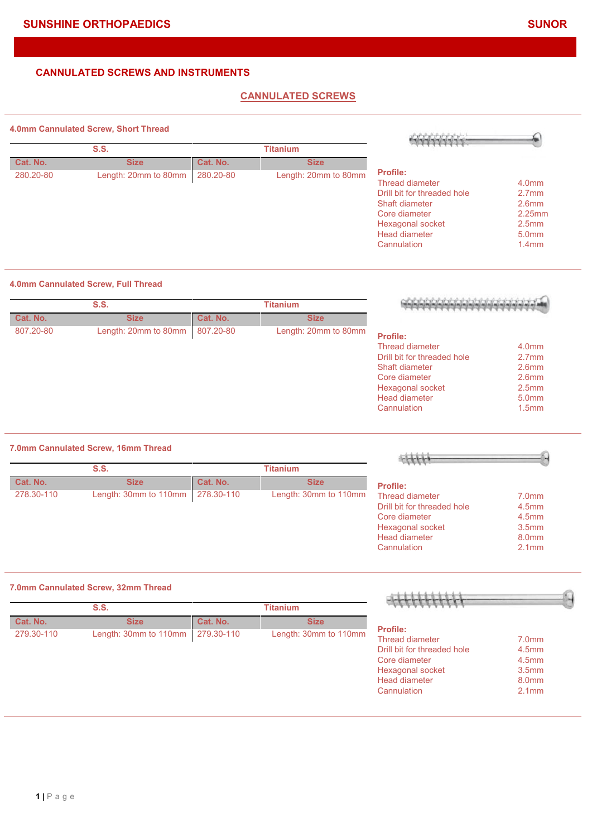## **CANNULATED SCREWS**

#### **4.0mm Cannulated Screw, Short Thread**

|           | H.VIIIIII Cannulated Ociew, Onon Thiead |           |                      | <b>SENEVER'S</b>            |                   |
|-----------|-----------------------------------------|-----------|----------------------|-----------------------------|-------------------|
|           | S.S.                                    |           | <b>Titanium</b>      |                             |                   |
| Cat. No.  | <b>Size</b>                             | Cat. No.  | <b>Size</b>          |                             |                   |
| 280.20-80 | Length: 20mm to 80mm                    | 280.20-80 | Length: 20mm to 80mm | <b>Profile:</b>             |                   |
|           |                                         |           |                      | <b>Thread diameter</b>      | 4.0 <sub>mm</sub> |
|           |                                         |           |                      | Drill bit for threaded hole | 2.7 <sub>mm</sub> |
|           |                                         |           |                      | Shaft diameter              | 2.6 <sub>mm</sub> |
|           |                                         |           |                      | Core diameter               | $2.25$ mm         |
|           |                                         |           |                      | Hexagonal socket            | 2.5 <sub>mm</sub> |
|           |                                         |           |                      | Head diameter               | 5.0 <sub>mm</sub> |
|           |                                         |           |                      | Cannulation                 | 1.4 <sub>mm</sub> |

### **4.0mm Cannulated Screw, Full Thread**

|                   |                             | <b>Titanium</b>      |           | <b>S.S.</b>          |           |
|-------------------|-----------------------------|----------------------|-----------|----------------------|-----------|
|                   |                             | <b>Size</b>          | Cat. No.  | <b>Size</b>          | Cat. No.  |
|                   | <b>Profile:</b>             | Length: 20mm to 80mm | 807.20-80 | Length: 20mm to 80mm | 807.20-80 |
| 4.0 <sub>mm</sub> | Thread diameter             |                      |           |                      |           |
| 2.7 <sub>mm</sub> | Drill bit for threaded hole |                      |           |                      |           |
| 2.6 <sub>mm</sub> | Shaft diameter              |                      |           |                      |           |
| 2.6 <sub>mm</sub> | Core diameter               |                      |           |                      |           |
| 2.5 <sub>mm</sub> | Hexagonal socket            |                      |           |                      |           |
| 5.0 <sub>mm</sub> | <b>Head diameter</b>        |                      |           |                      |           |
| 1.5 <sub>mm</sub> | Cannulation                 |                      |           |                      |           |

#### **7.0mm Cannulated Screw, 16mm Thread**

|            | S.S.                  |            | Titanium              |                             |                   |
|------------|-----------------------|------------|-----------------------|-----------------------------|-------------------|
| Cat. No.   | <b>Size</b>           | Cat. No.   | <b>Size</b>           | <b>Profile:</b>             |                   |
| 278.30-110 | Length: 30mm to 110mm | 278.30-110 | Length: 30mm to 110mm | Thread diameter             | 7.0 <sub>mm</sub> |
|            |                       |            |                       | Drill bit for threaded hole | 4.5 <sub>mm</sub> |
|            |                       |            |                       | Core diameter               | 4.5 <sub>mm</sub> |
|            |                       |            |                       | Hexagonal socket            | 3.5 <sub>mm</sub> |
|            |                       |            |                       | Head diameter               | 8.0 <sub>mm</sub> |
|            |                       |            |                       | Cannulation                 | 2.1 <sub>mm</sub> |

#### **7.0mm Cannulated Screw, 32mm Thread**

|            | S.S.                  |            | <b>Titanium</b>       |                             |                   |
|------------|-----------------------|------------|-----------------------|-----------------------------|-------------------|
| Cat. No.   | <b>Size</b>           | Cat. No.   | <b>Size</b>           |                             |                   |
| 279.30-110 | Length: 30mm to 110mm | 279.30-110 | Length: 30mm to 110mm | <b>Profile:</b>             |                   |
|            |                       |            |                       | Thread diameter             | 7.0 <sub>mm</sub> |
|            |                       |            |                       | Drill bit for threaded hole | 4.5 <sub>mm</sub> |
|            |                       |            |                       | Core diameter               | 4.5 <sub>mm</sub> |
|            |                       |            |                       | Hexagonal socket            | 3.5 <sub>mm</sub> |
|            |                       |            |                       | Head diameter               | 8.0 <sub>mm</sub> |
|            |                       |            |                       | Cannulation                 | 2.1 <sub>mm</sub> |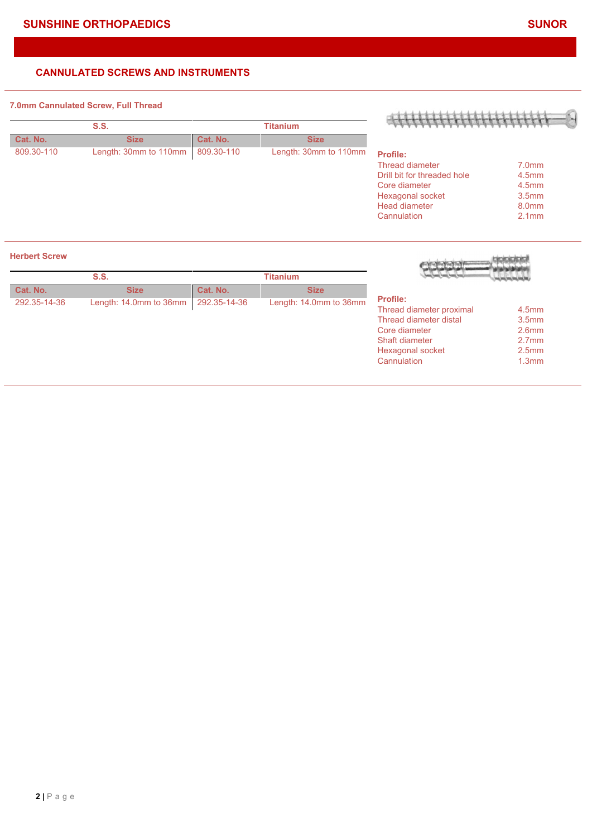#### **7.0mm Cannulated Screw, Full Thread**

|            | S.S.                  |            | <b>Titanium</b>       |                             |                   |
|------------|-----------------------|------------|-----------------------|-----------------------------|-------------------|
| Cat. No.   | <b>Size</b>           | Cat. No.   | <b>Size</b>           |                             |                   |
| 809.30-110 | Length: 30mm to 110mm | 809.30-110 | Length: 30mm to 110mm | <b>Profile:</b>             |                   |
|            |                       |            |                       | Thread diameter             | 7.0 <sub>mm</sub> |
|            |                       |            |                       | Drill bit for threaded hole | 4.5 <sub>mm</sub> |
|            |                       |            |                       | Core diameter               | 4.5 <sub>mm</sub> |
|            |                       |            |                       | Hexagonal socket            | 3.5 <sub>mm</sub> |
|            |                       |            |                       | <b>Head diameter</b>        | 8.0mm             |
|            |                       |            |                       | Cannulation                 | 2.1 <sub>mm</sub> |

#### **Herbert Screw**

|              | S.S.                   |              | <b>Titanium</b>        |                                                                                                                                             |                                                                                                                            |
|--------------|------------------------|--------------|------------------------|---------------------------------------------------------------------------------------------------------------------------------------------|----------------------------------------------------------------------------------------------------------------------------|
| Cat. No.     | <b>Size</b>            | Cat. No.     | <b>Size</b>            |                                                                                                                                             |                                                                                                                            |
| 292.35-14-36 | Length: 14.0mm to 36mm | 292.35-14-36 | Length: 14.0mm to 36mm | <b>Profile:</b><br>Thread diameter proximal<br>Thread diameter distal<br>Core diameter<br>Shaft diameter<br>Hexagonal socket<br>Cannulation | 4.5 <sub>mm</sub><br>3.5 <sub>mm</sub><br>2.6 <sub>mm</sub><br>2.7 <sub>mm</sub><br>2.5 <sub>mm</sub><br>1.3 <sub>mm</sub> |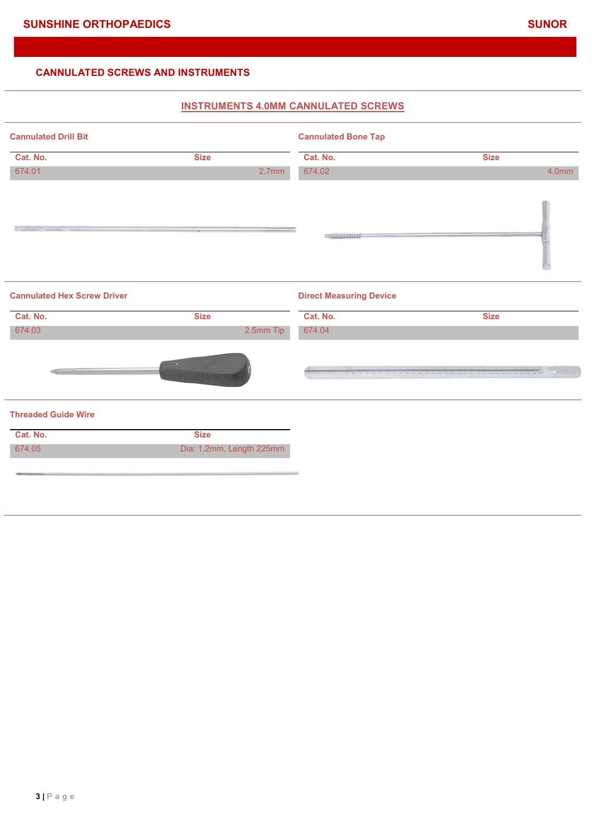# **INSTRUMENTS 4.0MM CANNULATED SCREWS Cannulated Drill Bit Cannulated Bone Tap Cat. No. Size Cat. No. Size** 674.01 2.7mm 674.02 4.0mm  $\equiv$  $-10000000000$ **Cannulated Hex Screw Driver Direct Measuring Device Cat. No. Size Cat. No. Size** 674.03 2.5mm Tip 674.04 **Threaded Guide Wire Cat. No. Size** 674.05 Dia: 1.2mm, Length 225mm